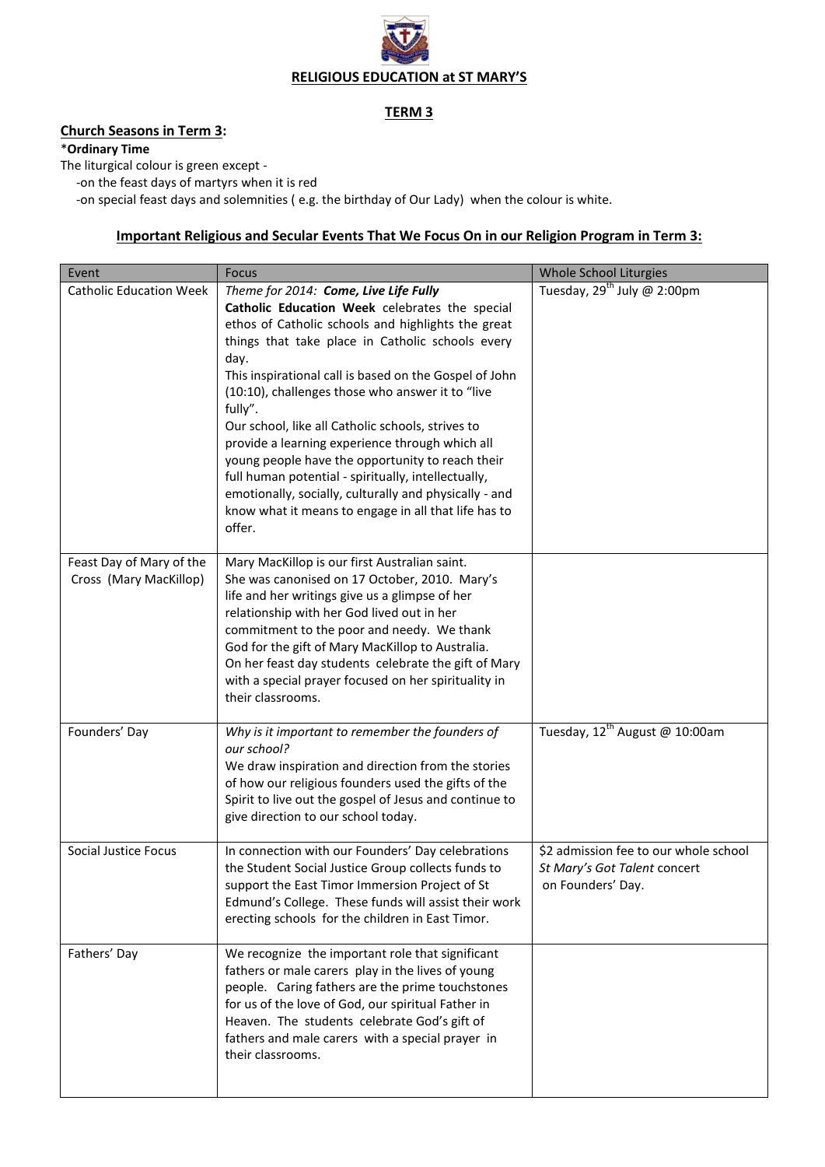

## **TERM 3**

# **Church Seasons in Term 3:**

#### \***Ordinary Time**

The liturgical colour is green except -

-on the feast days of martyrs when it is red

-on special feast days and solemnities ( e.g. the birthday of Our Lady) when the colour is white.

## **Important Religious and Secular Events That We Focus On in our Religion Program in Term 3:**

| Event                                              | <b>Focus</b>                                                                                                                                                                                                                                                                                                                                                                                                                                                                                                                                                                                                                                                                      | <b>Whole School Liturgies</b>                                                              |
|----------------------------------------------------|-----------------------------------------------------------------------------------------------------------------------------------------------------------------------------------------------------------------------------------------------------------------------------------------------------------------------------------------------------------------------------------------------------------------------------------------------------------------------------------------------------------------------------------------------------------------------------------------------------------------------------------------------------------------------------------|--------------------------------------------------------------------------------------------|
| <b>Catholic Education Week</b>                     | Theme for 2014: Come, Live Life Fully<br>Catholic Education Week celebrates the special<br>ethos of Catholic schools and highlights the great<br>things that take place in Catholic schools every<br>day.<br>This inspirational call is based on the Gospel of John<br>(10:10), challenges those who answer it to "live<br>fully".<br>Our school, like all Catholic schools, strives to<br>provide a learning experience through which all<br>young people have the opportunity to reach their<br>full human potential - spiritually, intellectually,<br>emotionally, socially, culturally and physically - and<br>know what it means to engage in all that life has to<br>offer. | Tuesday, $29^{th}$ July @ 2:00pm                                                           |
| Feast Day of Mary of the<br>Cross (Mary MacKillop) | Mary MacKillop is our first Australian saint.<br>She was canonised on 17 October, 2010. Mary's<br>life and her writings give us a glimpse of her<br>relationship with her God lived out in her<br>commitment to the poor and needy. We thank<br>God for the gift of Mary MacKillop to Australia.<br>On her feast day students celebrate the gift of Mary<br>with a special prayer focused on her spirituality in<br>their classrooms.                                                                                                                                                                                                                                             |                                                                                            |
| Founders' Day                                      | Why is it important to remember the founders of<br>our school?<br>We draw inspiration and direction from the stories<br>of how our religious founders used the gifts of the<br>Spirit to live out the gospel of Jesus and continue to<br>give direction to our school today.                                                                                                                                                                                                                                                                                                                                                                                                      | Tuesday, $12^{th}$ August @ 10:00am                                                        |
| <b>Social Justice Focus</b>                        | In connection with our Founders' Day celebrations<br>the Student Social Justice Group collects funds to<br>support the East Timor Immersion Project of St<br>Edmund's College. These funds will assist their work<br>erecting schools for the children in East Timor.                                                                                                                                                                                                                                                                                                                                                                                                             | \$2 admission fee to our whole school<br>St Mary's Got Talent concert<br>on Founders' Day. |
| Fathers' Day                                       | We recognize the important role that significant<br>fathers or male carers play in the lives of young<br>people. Caring fathers are the prime touchstones<br>for us of the love of God, our spiritual Father in<br>Heaven. The students celebrate God's gift of<br>fathers and male carers with a special prayer in<br>their classrooms.                                                                                                                                                                                                                                                                                                                                          |                                                                                            |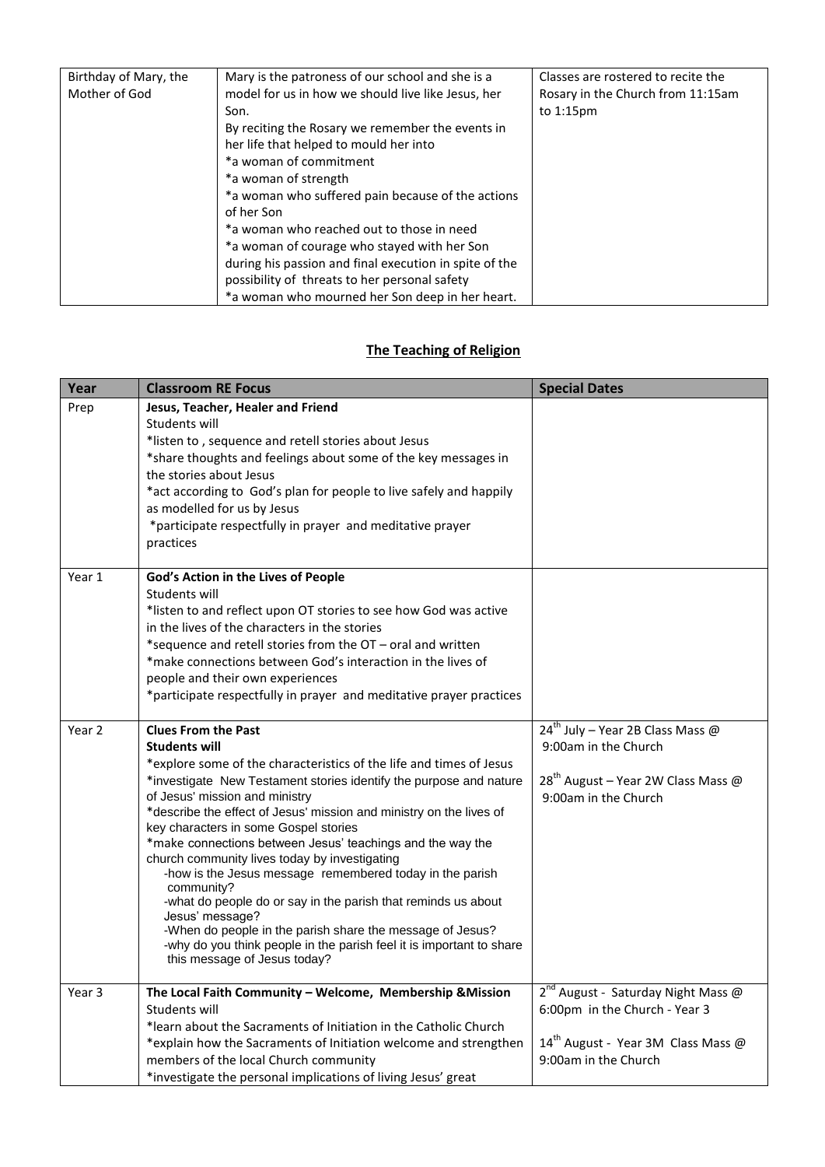| Birthday of Mary, the | Mary is the patroness of our school and she is a       | Classes are rostered to recite the |
|-----------------------|--------------------------------------------------------|------------------------------------|
| Mother of God         | model for us in how we should live like Jesus, her     | Rosary in the Church from 11:15am  |
|                       | Son.                                                   | to $1:15$ pm                       |
|                       | By reciting the Rosary we remember the events in       |                                    |
|                       | her life that helped to mould her into                 |                                    |
|                       | *a woman of commitment                                 |                                    |
|                       | *a woman of strength                                   |                                    |
|                       | *a woman who suffered pain because of the actions      |                                    |
|                       | of her Son                                             |                                    |
|                       | *a woman who reached out to those in need              |                                    |
|                       | *a woman of courage who stayed with her Son            |                                    |
|                       | during his passion and final execution in spite of the |                                    |
|                       | possibility of threats to her personal safety          |                                    |
|                       | *a woman who mourned her Son deep in her heart.        |                                    |

# **The Teaching of Religion**

| Year   | <b>Classroom RE Focus</b>                                                                                                                                                                                                                                                                                                                                                                                                                                                                                                                                                                                                                                                                                                                                                                           | <b>Special Dates</b>                                                                                                                                      |
|--------|-----------------------------------------------------------------------------------------------------------------------------------------------------------------------------------------------------------------------------------------------------------------------------------------------------------------------------------------------------------------------------------------------------------------------------------------------------------------------------------------------------------------------------------------------------------------------------------------------------------------------------------------------------------------------------------------------------------------------------------------------------------------------------------------------------|-----------------------------------------------------------------------------------------------------------------------------------------------------------|
| Prep   | Jesus, Teacher, Healer and Friend<br>Students will<br>*listen to, sequence and retell stories about Jesus<br>*share thoughts and feelings about some of the key messages in<br>the stories about Jesus<br>*act according to God's plan for people to live safely and happily<br>as modelled for us by Jesus<br>*participate respectfully in prayer and meditative prayer<br>practices                                                                                                                                                                                                                                                                                                                                                                                                               |                                                                                                                                                           |
| Year 1 | God's Action in the Lives of People<br>Students will<br>*listen to and reflect upon OT stories to see how God was active<br>in the lives of the characters in the stories<br>*sequence and retell stories from the OT - oral and written<br>*make connections between God's interaction in the lives of<br>people and their own experiences<br>*participate respectfully in prayer and meditative prayer practices                                                                                                                                                                                                                                                                                                                                                                                  |                                                                                                                                                           |
| Year 2 | <b>Clues From the Past</b><br><b>Students will</b><br>*explore some of the characteristics of the life and times of Jesus<br>*investigate New Testament stories identify the purpose and nature<br>of Jesus' mission and ministry<br>*describe the effect of Jesus' mission and ministry on the lives of<br>key characters in some Gospel stories<br>*make connections between Jesus' teachings and the way the<br>church community lives today by investigating<br>-how is the Jesus message remembered today in the parish<br>community?<br>-what do people do or say in the parish that reminds us about<br>Jesus' message?<br>-When do people in the parish share the message of Jesus?<br>-why do you think people in the parish feel it is important to share<br>this message of Jesus today? | $24^{th}$ July – Year 2B Class Mass @<br>9:00am in the Church<br>$28^{th}$ August – Year 2W Class Mass @<br>9:00am in the Church                          |
| Year 3 | The Local Faith Community - Welcome, Membership & Mission<br>Students will<br>*learn about the Sacraments of Initiation in the Catholic Church<br>*explain how the Sacraments of Initiation welcome and strengthen<br>members of the local Church community<br>*investigate the personal implications of living Jesus' great                                                                                                                                                                                                                                                                                                                                                                                                                                                                        | 2 <sup>nd</sup> August - Saturday Night Mass @<br>6:00pm in the Church - Year 3<br>14 <sup>th</sup> August - Year 3M Class Mass @<br>9:00am in the Church |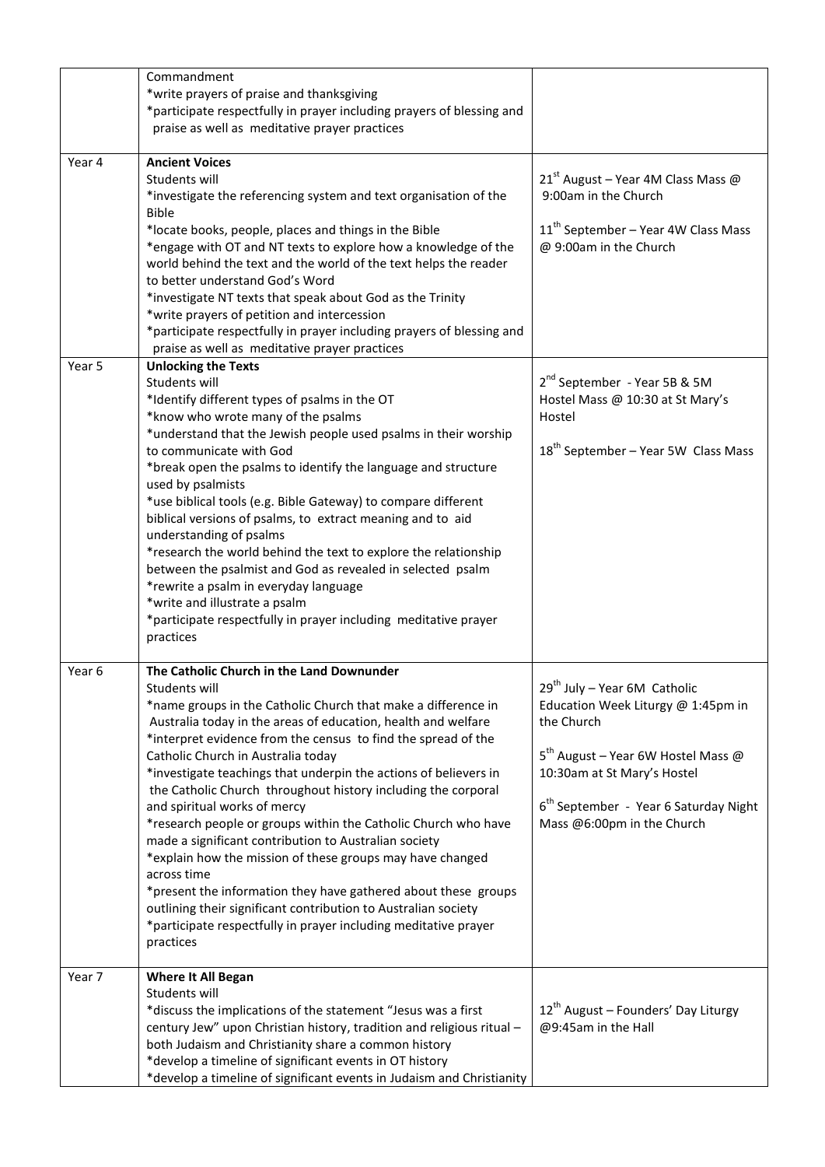|        | Commandment<br>*write prayers of praise and thanksgiving<br>*participate respectfully in prayer including prayers of blessing and<br>praise as well as meditative prayer practices                                                                                                                                                                                                                                                                                                                                                                                                                                                                                                                                                                                                                                                                                                                  |                                                                                                                                                                                                                                                           |
|--------|-----------------------------------------------------------------------------------------------------------------------------------------------------------------------------------------------------------------------------------------------------------------------------------------------------------------------------------------------------------------------------------------------------------------------------------------------------------------------------------------------------------------------------------------------------------------------------------------------------------------------------------------------------------------------------------------------------------------------------------------------------------------------------------------------------------------------------------------------------------------------------------------------------|-----------------------------------------------------------------------------------------------------------------------------------------------------------------------------------------------------------------------------------------------------------|
| Year 4 | <b>Ancient Voices</b><br>Students will<br>*investigate the referencing system and text organisation of the<br><b>Bible</b><br>*locate books, people, places and things in the Bible<br>*engage with OT and NT texts to explore how a knowledge of the<br>world behind the text and the world of the text helps the reader<br>to better understand God's Word<br>*investigate NT texts that speak about God as the Trinity<br>*write prayers of petition and intercession<br>*participate respectfully in prayer including prayers of blessing and<br>praise as well as meditative prayer practices                                                                                                                                                                                                                                                                                                  | $21^{st}$ August – Year 4M Class Mass @<br>9:00am in the Church<br>$11th$ September – Year 4W Class Mass<br>@ 9:00am in the Church                                                                                                                        |
| Year 5 | <b>Unlocking the Texts</b><br>Students will<br>*Identify different types of psalms in the OT<br>*know who wrote many of the psalms<br>*understand that the Jewish people used psalms in their worship<br>to communicate with God<br>*break open the psalms to identify the language and structure<br>used by psalmists<br>*use biblical tools (e.g. Bible Gateway) to compare different<br>biblical versions of psalms, to extract meaning and to aid<br>understanding of psalms<br>*research the world behind the text to explore the relationship<br>between the psalmist and God as revealed in selected psalm<br>*rewrite a psalm in everyday language<br>*write and illustrate a psalm<br>*participate respectfully in prayer including meditative prayer<br>practices                                                                                                                         | 2 <sup>nd</sup> September - Year 5B & 5M<br>Hostel Mass @ 10:30 at St Mary's<br>Hostel<br>18 <sup>th</sup> September - Year 5W Class Mass                                                                                                                 |
| Year 6 | The Catholic Church in the Land Downunder<br>Students will<br>*name groups in the Catholic Church that make a difference in<br>Australia today in the areas of education, health and welfare<br>*interpret evidence from the census to find the spread of the<br>Catholic Church in Australia today<br>*investigate teachings that underpin the actions of believers in<br>the Catholic Church throughout history including the corporal<br>and spiritual works of mercy<br>*research people or groups within the Catholic Church who have<br>made a significant contribution to Australian society<br>*explain how the mission of these groups may have changed<br>across time<br>*present the information they have gathered about these groups<br>outlining their significant contribution to Australian society<br>*participate respectfully in prayer including meditative prayer<br>practices | 29 <sup>th</sup> July - Year 6M Catholic<br>Education Week Liturgy @ 1:45pm in<br>the Church<br>$5^{th}$ August – Year 6W Hostel Mass @<br>10:30am at St Mary's Hostel<br>6 <sup>th</sup> September - Year 6 Saturday Night<br>Mass @6:00pm in the Church |
| Year 7 | <b>Where It All Began</b><br>Students will<br>*discuss the implications of the statement "Jesus was a first<br>century Jew" upon Christian history, tradition and religious ritual -<br>both Judaism and Christianity share a common history<br>*develop a timeline of significant events in OT history<br>*develop a timeline of significant events in Judaism and Christianity                                                                                                                                                                                                                                                                                                                                                                                                                                                                                                                    | $12^{th}$ August – Founders' Day Liturgy<br>@9:45am in the Hall                                                                                                                                                                                           |